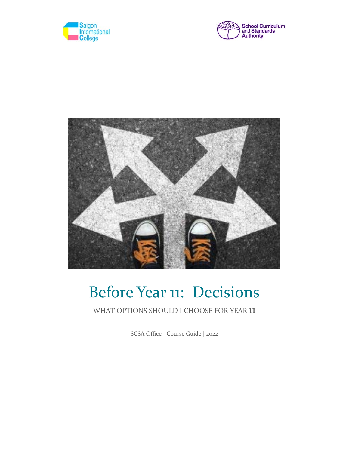





# Before Year 11: Decisions

## WHAT OPTIONS SHOULD <sup>I</sup> CHOOSE FOR YEAR 11

SCSA Office | Course Guide | 2022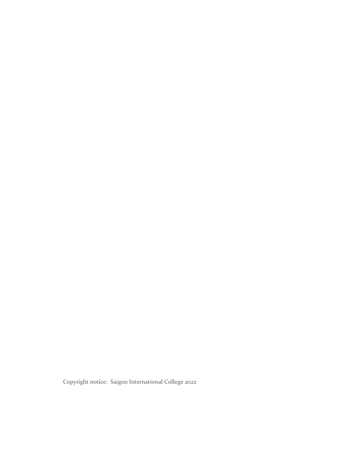Copyright notice: Saigon International College 2022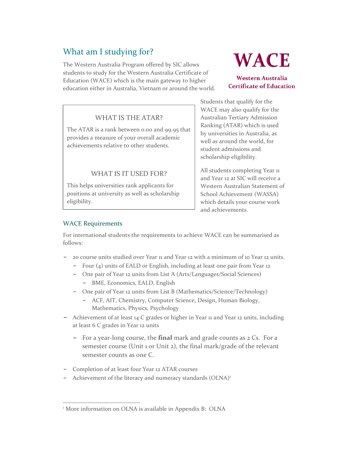## What am I studying for?

The Western Australia Program offered by SIC allows students to study for the Western Australia Certificate of Education (WACE) which is the main gateway to higher education either in Australia, Vietnam or around the world.

## WHAT IS THE ATAR?

The ATAR is a rank between 0.00 and 99.95 that provides a measure of your overall academic achievements relative to other students.

## WHAT IS IT USED FOR?

This helps universities rank applicants for positions at university as well as scholarship eligibility.

# **WACE**

**Western Australia Certificate of Education** 

Students that qualify for the WACE may also qualify for the Australian Tertiary Admission Ranking (ATAR) which is used by universities in Australia, as well as around the world, for student admissions and scholarship eligibility.

All students completing Year 11 and Year 12 at SIC will receive a Western Australian Statement of School Achievement (WASSA) which details your course work and achievements.

### WACE Requirements

For international students the requirements to achieve WACE can be summarised as follows:

- − 20 course units studied over Year 11 and Year 12 with a minimum of 10 Year 12 units.
	- − Four (4) units of EALD or English, including at least one pair from Year 12
	- − One pair of Year 12 units from List A (Arts/Languages/Social Sciences) BME, Economics, EALD, English
	- − One pair of Year 12 units from List B (Mathematics/Science/Technology)
		- − ACF, AIT, Chemistry, Computer Science, Design, Human Biology, Mathematics, Physics, Psychology
- − Achievement of at least 14 C grades or higher in Year 11 and Year 12 units, including at least 6 C grades in Year 12 units
	- − For a year‐long course, the **final** mark and grade counts as 2 Cs. For a semester course (Unit 1 or Unit 2), the final mark/grade of the relevant semester counts as one C.
- − Completion of at least four Year 12 ATAR courses
- − Achievement of the literacy and numeracy standards (OLNA)<sup>1</sup>

 <sup>1</sup> More information on OLNA is available in Appendix B: OLNA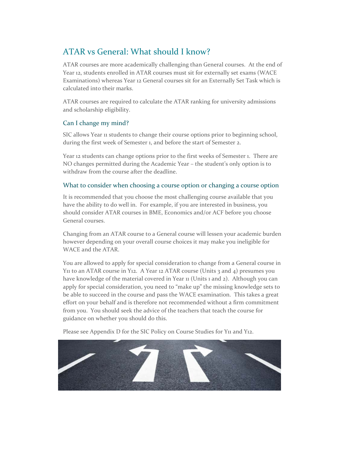## ATAR vs General: What should I know?

ATAR courses are more academically challenging than General courses. At the end of Year 12, students enrolled in ATAR courses must sit for externally set exams (WACE Examinations) whereas Year 12 General courses sit for an Externally Set Task which is calculated into their marks.

ATAR courses are required to calculate the ATAR ranking for university admissions and scholarship eligibility.

### Can I change my mind?

SIC allows Year 11 students to change their course options prior to beginning school, during the first week of Semester 1, and before the start of Semester 2.

Year 12 students can change options prior to the first weeks of Semester 1. There are NO changes permitted during the Academic Year – the student's only option is to withdraw from the course after the deadline.

#### What to consider when choosing a course option or changing a course option

It is recommended that you choose the most challenging course available that you have the ability to do well in. For example, if you are interested in business, you should consider ATAR courses in BME, Economics and/or ACF before you choose General courses.

Changing from an ATAR course to a General course will lessen your academic burden however depending on your overall course choices it may make you ineligible for WACE and the ATAR.

You are allowed to apply for special consideration to change from a General course in Y11 to an ATAR course in Y12. A Year 12 ATAR course (Units 3 and 4) presumes you have knowledge of the material covered in Year 11 (Units 1 and 2). Although you can apply for special consideration, you need to "make up" the missing knowledge sets to be able to succeed in the course and pass the WACE examination. This takes a great effort on your behalf and is therefore not recommended without a firm commitment from you. You should seek the advice of the teachers that teach the course for guidance on whether you should do this.

Please see Appendix D for the SIC Policy on Course Studies for Y<sub>11</sub> and Y<sub>12</sub>.

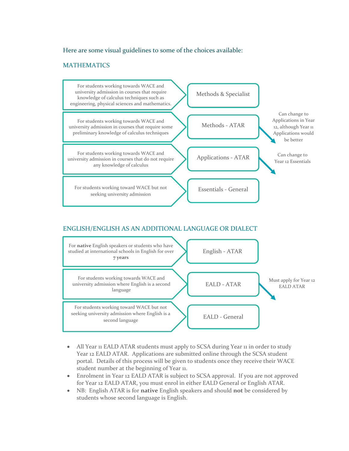#### Here are some visual guidelines to some of the choices available:

#### MATHEMATICS



### ENGLISH/ENGLISH AS AN ADDITIONAL LANGUAGE OR DIALECT



- All Year 11 EALD ATAR students must apply to SCSA during Year 11 in order to study Year 12 EALD ATAR. Applications are submitted online through the SCSA student portal. Details of this process will be given to students once they receive their WACE student number at the beginning of Year 11.
- Enrolment in Year 12 EALD ATAR is subject to SCSA approval. If you are not approved for Year 12 EALD ATAR, you must enrol in either EALD General or English ATAR.
- NB: English ATAR is for **native** English speakers and should **not** be considered by students whose second language is English.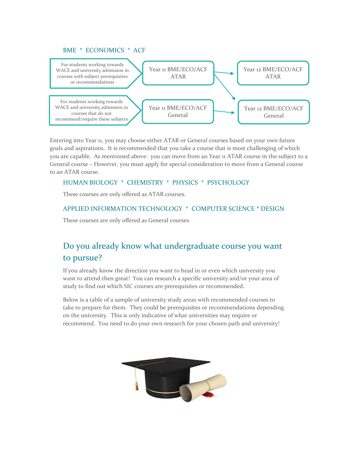#### BME \* ECONOMICS \* ACF



Entering into Year 11, you may choose either ATAR or General courses based on your own future goals and aspirations. It is recommended that you take a course that is most challenging of which you are capable. As mentioned above: you can move from an Year 11 ATAR course in the subject to a General course – However, you must apply for special consideration to move from a General course to an ATAR course.

#### HUMAN BIOLOGY \* CHEMISTRY \* PHYSICS \* PSYCHOLOGY

These courses are only offered as ATAR courses.

#### APPLIED INFORMATION TECHNOLOGY \* COMPUTER SCIENCE \* DESIGN

These courses are only offered as General courses

## Do you already know what undergraduate course you want to pursue?

If you already know the direction you want to head in or even which university you want to attend then great! You can research a specific university and/or your area of study to find out which SIC courses are prerequisites or recommended.

Below is a table of a sample of university study areas with recommended courses to take to prepare for them. They could be prerequisites or recommendations depending on the university. This is only indicative of what universities may require or recommend. You need to do your own research for your chosen path and university!

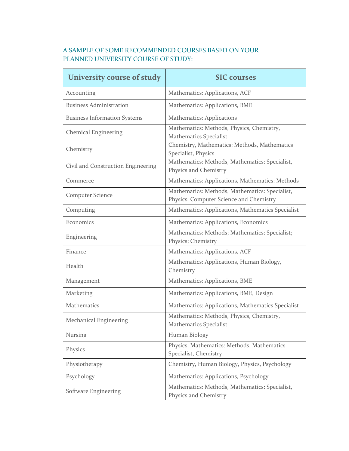## A SAMPLE OF SOME RECOMMENDED COURSES BASED ON YOUR PLANNED UNIVERSITY COURSE OF STUDY:

| University course of study          | <b>SIC</b> courses                                                                        |
|-------------------------------------|-------------------------------------------------------------------------------------------|
| Accounting                          | Mathematics: Applications, ACF                                                            |
| <b>Business Administration</b>      | Mathematics: Applications, BME                                                            |
| <b>Business Information Systems</b> | <b>Mathematics: Applications</b>                                                          |
| <b>Chemical Engineering</b>         | Mathematics: Methods, Physics, Chemistry,<br><b>Mathematics Specialist</b>                |
| Chemistry                           | Chemistry, Mathematics: Methods, Mathematics<br>Specialist, Physics                       |
| Civil and Construction Engineering  | Mathematics: Methods, Mathematics: Specialist,<br>Physics and Chemistry                   |
| Commerce                            | Mathematics: Applications, Mathematics: Methods                                           |
| <b>Computer Science</b>             | Mathematics: Methods, Mathematics: Specialist,<br>Physics, Computer Science and Chemistry |
| Computing                           | Mathematics: Applications, Mathematics Specialist                                         |
| Economics                           | Mathematics: Applications, Economics                                                      |
| Engineering                         | Mathematics: Methods; Mathematics: Specialist;<br>Physics; Chemistry                      |
| Finance                             | Mathematics: Applications, ACF                                                            |
| Health                              | Mathematics: Applications, Human Biology,<br>Chemistry                                    |
| Management                          | Mathematics: Applications, BME                                                            |
| Marketing                           | Mathematics: Applications, BME, Design                                                    |
| Mathematics                         | Mathematics: Applications, Mathematics Specialist                                         |
| <b>Mechanical Engineering</b>       | Mathematics: Methods, Physics, Chemistry,<br>Mathematics Specialist                       |
| <b>Nursing</b>                      | Human Biology                                                                             |
| Physics                             | Physics, Mathematics: Methods, Mathematics<br>Specialist, Chemistry                       |
| Physiotherapy                       | Chemistry, Human Biology, Physics, Psychology                                             |
| Psychology                          | Mathematics: Applications, Psychology                                                     |
| Software Engineering                | Mathematics: Methods, Mathematics: Specialist,<br>Physics and Chemistry                   |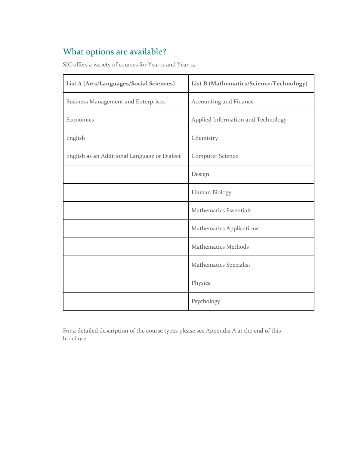## What options are available?

SIC offers a variety of courses for Year 11 and Year 12.

| List A (Arts/Languages/Social Sciences)      | List B (Mathematics/Science/Technology) |
|----------------------------------------------|-----------------------------------------|
| <b>Business Management and Enterprises</b>   | Accounting and Finance                  |
| Economics                                    | Applied Information and Technology      |
| English                                      | Chemistry                               |
| English as an Additional Language or Dialect | <b>Computer Science</b>                 |
|                                              | Design                                  |
|                                              | Human Biology                           |
|                                              | <b>Mathematics Essentials</b>           |
|                                              | <b>Mathematics Applications</b>         |
|                                              | <b>Mathematics Methods</b>              |
|                                              | <b>Mathematics Specialist</b>           |
|                                              | Physics                                 |
|                                              | Psychology                              |

For a detailed description of the course types please see Appendix A at the end of this brochure.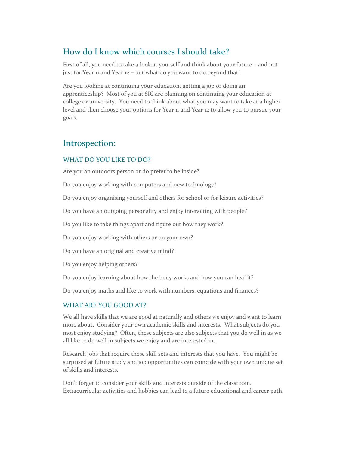## How do I know which courses I should take?

First of all, you need to take a look at yourself and think about your future – and not just for Year 11 and Year 12 – but what do you want to do beyond that!

Are you looking at continuing your education, getting a job or doing an apprenticeship? Most of you at SIC are planning on continuing your education at college or university. You need to think about what you may want to take at a higher level and then choose your options for Year 11 and Year 12 to allow you to pursue your goals.

## Introspection:

#### WHAT DO YOU LIKE TO DO?

Are you an outdoors person or do prefer to be inside?

Do you enjoy working with computers and new technology?

Do you enjoy organising yourself and others for school or for leisure activities?

Do you have an outgoing personality and enjoy interacting with people?

Do you like to take things apart and figure out how they work?

Do you enjoy working with others or on your own?

Do you have an original and creative mind?

Do you enjoy helping others?

Do you enjoy learning about how the body works and how you can heal it?

Do you enjoy maths and like to work with numbers, equations and finances?

#### WHAT ARE YOU GOOD AT?

We all have skills that we are good at naturally and others we enjoy and want to learn more about. Consider your own academic skills and interests. What subjects do you most enjoy studying? Often, these subjects are also subjects that you do well in as we all like to do well in subjects we enjoy and are interested in.

Research jobs that require these skill sets and interests that you have. You might be surprised at future study and job opportunities can coincide with your own unique set of skills and interests.

Don't forget to consider your skills and interests outside of the classroom. Extracurricular activities and hobbies can lead to a future educational and career path.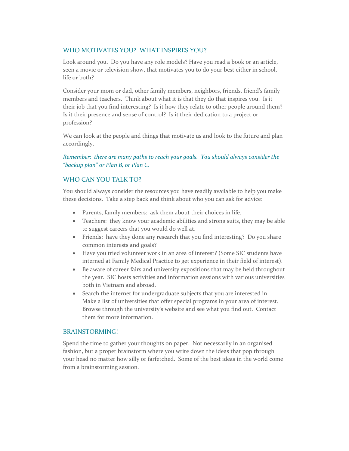#### WHO MOTIVATES YOU? WHAT INSPIRES YOU?

Look around you. Do you have any role models? Have you read a book or an article, seen a movie or television show, that motivates you to do your best either in school, life or both?

Consider your mom or dad, other family members, neighbors, friends, friend's family members and teachers. Think about what it is that they do that inspires you. Is it their job that you find interesting? Is it how they relate to other people around them? Is it their presence and sense of control? Is it their dedication to a project or profession?

We can look at the people and things that motivate us and look to the future and plan accordingly.

*Remember: there are many paths to reach your goals. You should always consider the "backup plan" or Plan B, or Plan C.*

#### WHO CAN YOU TALK TO?

You should always consider the resources you have readily available to help you make these decisions. Take a step back and think about who you can ask for advice:

- Parents, family members: ask them about their choices in life.
- Teachers: they know your academic abilities and strong suits, they may be able to suggest careers that you would do well at.
- Friends: have they done any research that you find interesting? Do you share common interests and goals?
- Have you tried volunteer work in an area of interest? (Some SIC students have interned at Family Medical Practice to get experience in their field of interest).
- Be aware of career fairs and university expositions that may be held throughout the year. SIC hosts activities and information sessions with various universities both in Vietnam and abroad.
- Search the internet for undergraduate subjects that you are interested in. Make a list of universities that offer special programs in your area of interest. Browse through the university's website and see what you find out. Contact them for more information.

#### BRAINSTORMING!

Spend the time to gather your thoughts on paper. Not necessarily in an organised fashion, but a proper brainstorm where you write down the ideas that pop through your head no matter how silly or farfetched. Some of the best ideas in the world come from a brainstorming session.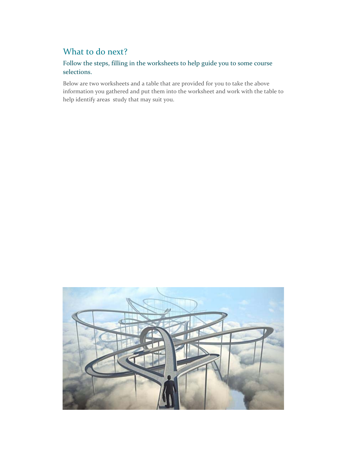## What to do next?

## Follow the steps, filling in the worksheets to help guide you to some course selections.

Below are two worksheets and a table that are provided for you to take the above information you gathered and put them into the worksheet and work with the table to help identify areas study that may suit you.

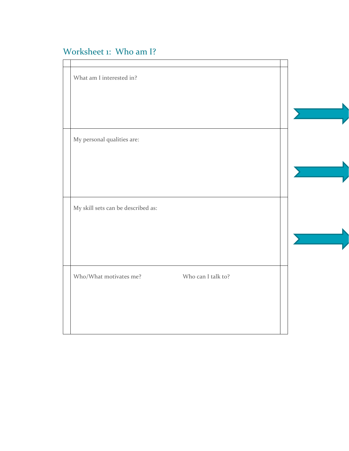## Worksheet 1: Who am I?

| What am I interested in?                     |  |
|----------------------------------------------|--|
|                                              |  |
|                                              |  |
| My personal qualities are:                   |  |
|                                              |  |
|                                              |  |
| My skill sets can be described as:           |  |
|                                              |  |
|                                              |  |
| Who/What motivates me?<br>Who can I talk to? |  |
|                                              |  |
|                                              |  |
|                                              |  |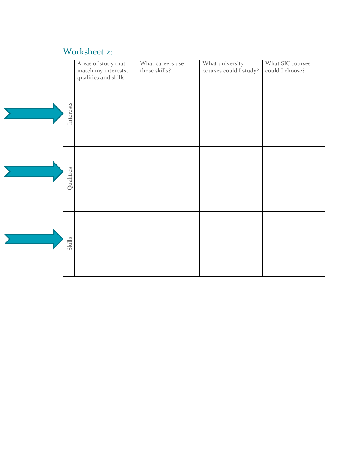## Worksheet 2:

|           | Areas of study that<br>match my interests,<br>qualities and skills | What careers use<br>those skills? | What university<br>courses could I study? | What SIC courses<br>could I choose? |
|-----------|--------------------------------------------------------------------|-----------------------------------|-------------------------------------------|-------------------------------------|
| Interests |                                                                    |                                   |                                           |                                     |
| Qualities |                                                                    |                                   |                                           |                                     |
| Skills    |                                                                    |                                   |                                           |                                     |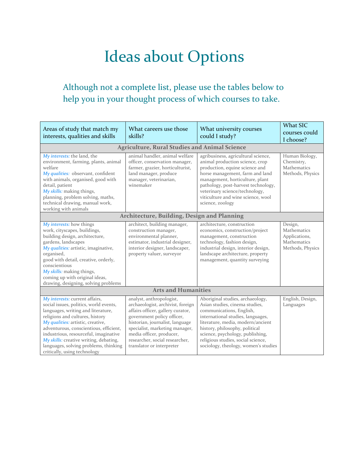# Ideas about Options

## Although not a complete list, please use the tables below to help you in your thought process of which courses to take.

| Areas of study that match my<br>interests, qualities and skills                                                                                                                                                                                                                                                                                                                              | What careers use those<br>skills?                                                                                                                                                                                                                                                                | What university courses<br>could I study?                                                                                                                                                                                                                                                                                    | What SIC<br>courses could<br>I choose?                                     |
|----------------------------------------------------------------------------------------------------------------------------------------------------------------------------------------------------------------------------------------------------------------------------------------------------------------------------------------------------------------------------------------------|--------------------------------------------------------------------------------------------------------------------------------------------------------------------------------------------------------------------------------------------------------------------------------------------------|------------------------------------------------------------------------------------------------------------------------------------------------------------------------------------------------------------------------------------------------------------------------------------------------------------------------------|----------------------------------------------------------------------------|
|                                                                                                                                                                                                                                                                                                                                                                                              | <b>Agriculture, Rural Studies and Animal Science</b>                                                                                                                                                                                                                                             |                                                                                                                                                                                                                                                                                                                              |                                                                            |
| My interests: the land, the<br>environment, farming, plants, animal<br>welfare<br>My qualities: observant, confident<br>with animals, organised, good with<br>detail, patient<br>My skills: making things,<br>planning, problem solving, maths,<br>technical drawing, manual work,<br>working with animals                                                                                   | animal handler, animal welfare<br>officer, conservation manager,<br>farmer, grazier, horticulturist,<br>land manager, produce<br>manager, veterinarian,<br>winemaker                                                                                                                             | agribusiness, agricultural science,<br>animal production science, crop<br>production, equine science and<br>horse management, farm and land<br>management, horticulture, plant<br>pathology, post-harvest technology,<br>veterinary science/technology,<br>viticulture and wine science, wool<br>science, zoology            | Human Biology,<br>Chemistry,<br>Mathematics<br>Methods, Physics            |
| Architecture, Building, Design and Planning                                                                                                                                                                                                                                                                                                                                                  |                                                                                                                                                                                                                                                                                                  |                                                                                                                                                                                                                                                                                                                              |                                                                            |
| My interests: how things<br>work, cityscapes, buildings,<br>building design, architecture,<br>gardens, landscapes<br>My qualities: artistic, imaginative,<br>organised,<br>good with detail, creative, orderly,<br>conscientious<br>My skills: making things,<br>coming up with original ideas,<br>drawing, designing, solving problems                                                      | architect, building manager,<br>construction manager,<br>environmental planner,<br>estimator, industrial designer,<br>interior designer, landscaper,<br>property valuer, surveyor                                                                                                                | architecture, construction<br>economics, construction/project<br>management, construction<br>technology, fashion design,<br>industrial design, interior design,<br>landscape architecture, property<br>management, quantity surveying                                                                                        | Design,<br>Mathematics<br>Applications,<br>Mathematics<br>Methods, Physics |
|                                                                                                                                                                                                                                                                                                                                                                                              | <b>Arts and Humanities</b>                                                                                                                                                                                                                                                                       |                                                                                                                                                                                                                                                                                                                              |                                                                            |
| My interests: current affairs,<br>social issues, politics, world events,<br>languages, writing and literature,<br>religions and cultures, history<br>My qualities: artistic, creative,<br>adventurous, conscientious, efficient,<br>industrious, resourceful, imaginative<br>My skills: creative writing, debating,<br>languages, solving problems, thinking<br>critically, using technology | analyst, anthropologist,<br>archaeologist, archivist, foreign<br>affairs officer, gallery curator,<br>government policy officer,<br>historian, journalist, language<br>specialist, marketing manager,<br>media officer, producer,<br>researcher, social researcher,<br>translator or interpreter | Aboriginal studies, archaeology,<br>Asian studies, cinema studies,<br>communications, English,<br>international studies, languages,<br>literature, media, modern/ancient<br>history, philosophy, political<br>science, psychology, publishing,<br>religious studies, social science,<br>sociology, theology, women's studies | English, Design,<br>Languages                                              |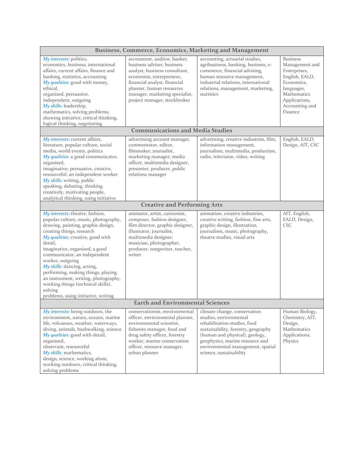| <b>Business, Commerce, Economics, Marketing and Management</b>                                                                                                                                                                                                                                                                                                                                                                                                                        |                                                                                                                                                                                                                                                       |                                                                                                                                                                                                                                                                    |                                                                                                                                                              |
|---------------------------------------------------------------------------------------------------------------------------------------------------------------------------------------------------------------------------------------------------------------------------------------------------------------------------------------------------------------------------------------------------------------------------------------------------------------------------------------|-------------------------------------------------------------------------------------------------------------------------------------------------------------------------------------------------------------------------------------------------------|--------------------------------------------------------------------------------------------------------------------------------------------------------------------------------------------------------------------------------------------------------------------|--------------------------------------------------------------------------------------------------------------------------------------------------------------|
| My interests: politics,<br>economics, business, international<br>affairs, current affairs, finance and<br>banking, statistics, accounting<br>My qualities: good with money,<br>ethical,<br>organised, persuasive,<br>independent, outgoing<br>My skills: leadership,<br>mathematics, solving problems,<br>showing initiative, critical thinking,<br>logical thinking, negotiating                                                                                                     | accountant, auditor, banker,<br>business adviser, business<br>analyst, business consultant,<br>economist, entrepreneur,<br>financial analyst, financial<br>planner, human resources<br>manager, marketing specialist,<br>project manager, stockbroker | accounting, actuarial studies,<br>agribusiness, banking, business, e-<br>commerce, financial advising,<br>human resource management,<br>industrial relations, international<br>relations, management, marketing,<br>statistics                                     | <b>Business</b><br>Management and<br>Enterprises,<br>English, EALD,<br>Economics,<br>languages,<br>Mathematics<br>Applications,<br>Accounting and<br>Finance |
|                                                                                                                                                                                                                                                                                                                                                                                                                                                                                       | <b>Communications and Media Studies</b>                                                                                                                                                                                                               |                                                                                                                                                                                                                                                                    |                                                                                                                                                              |
| My interests: current affairs,<br>literature, popular culture, social<br>media, world events, politics<br>My qualities: a good communicator,<br>organised,<br>imaginative, persuasive, creative,<br>resourceful, an independent worker<br>My skills: writing, public<br>speaking, debating, thinking<br>creatively, motivating people,<br>analytical thinking, using initiative                                                                                                       | advertising account manager,<br>commentator, editor,<br>filmmaker, journalist,<br>marketing manager, media<br>officer, multimedia designer,<br>presenter, producer, public<br>relations manager                                                       | advertising, creative industries, film,<br>information management,<br>journalism, multimedia, production,<br>radio, television, video, writing                                                                                                                     | English, EALD,<br>Design, AIT, CSC                                                                                                                           |
|                                                                                                                                                                                                                                                                                                                                                                                                                                                                                       | <b>Creative and Performing Arts</b>                                                                                                                                                                                                                   |                                                                                                                                                                                                                                                                    |                                                                                                                                                              |
| My interests: theatre, fashion,<br>popular culture, music, photography,<br>drawing, painting, graphic design,<br>creating things, research<br>My qualities: creative, good with<br>detail,<br>imaginative, organised, a good<br>communicator, an independent<br>worker, outgoing<br>My skills: dancing, acting,<br>performing, making things, playing<br>an instrument, writing, photography,<br>working things (technical skills),<br>solving<br>problems, using initiative, writing | animator, artist, cartoonist,<br>composer, fashion designer,<br>film director, graphic designer,<br>illustrator, journalist,<br>multimedia designer,<br>musician, photographer,<br>producer, songwriter, teacher,<br>writer                           | animation, creative industries,<br>creative writing, fashion, fine arts,<br>graphic design, illustration,<br>journalism, music, photography,<br>theatre studies, visual arts                                                                                       | AIT, English,<br>EALD, Design,<br><b>CSC</b>                                                                                                                 |
|                                                                                                                                                                                                                                                                                                                                                                                                                                                                                       | <b>Earth and Environmental Sciences</b>                                                                                                                                                                                                               |                                                                                                                                                                                                                                                                    |                                                                                                                                                              |
| My interests: being outdoors, the<br>environment, nature, oceans, marine<br>life, volcanoes, weather, waterways,<br>diving, animals, bushwalking, science<br>My qualities: good with detail,<br>organised,<br>observant, resourceful<br>My skills: mathematics,<br>design, science, working alone,<br>working outdoors, critical thinking,<br>solving problems                                                                                                                        | conservationist, environmental<br>officer, environmental planner,<br>environmental scientist,<br>fisheries manager, food and<br>drug safety officer, forestry<br>worker, marine conservation<br>officer, resource manager,<br>urban planner           | climate change, conservation<br>studies, environmental<br>rehabilitation studies, food<br>sustainability, forestry, geography<br>(human and physical), geology,<br>geophysics, marine resource and<br>environmental management, spatial<br>science, sustainability | Human Biology,<br>Chemistry, AIT,<br>Design,<br>Mathematics<br>Applications,<br>Physics                                                                      |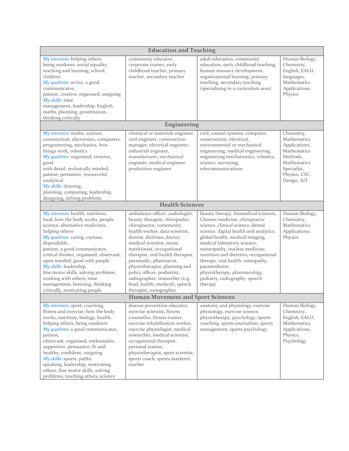| <b>Education and Teaching</b>                                                                                                                                                                                                                                                                                                                                                                                                                               |                                                                                                                                                                                                                                                                                                                                                                                                                                                       |                                                                                                                                                                                                                                                                                                                                                                                                                                      |                                                                                                                                     |
|-------------------------------------------------------------------------------------------------------------------------------------------------------------------------------------------------------------------------------------------------------------------------------------------------------------------------------------------------------------------------------------------------------------------------------------------------------------|-------------------------------------------------------------------------------------------------------------------------------------------------------------------------------------------------------------------------------------------------------------------------------------------------------------------------------------------------------------------------------------------------------------------------------------------------------|--------------------------------------------------------------------------------------------------------------------------------------------------------------------------------------------------------------------------------------------------------------------------------------------------------------------------------------------------------------------------------------------------------------------------------------|-------------------------------------------------------------------------------------------------------------------------------------|
| My interests: helping others,<br>being outdoors, social equality,<br>teaching and learning, school,<br>children<br>My qualities: active, a good<br>communicator,<br>patient, creative, organised, outgoing<br>My skills: time<br>management, leadership, English,<br>maths, planning, presentation,<br>thinking critically                                                                                                                                  | community educator,<br>corporate trainer, early<br>childhood teacher, primary<br>teacher, secondary teacher                                                                                                                                                                                                                                                                                                                                           | adult education, community<br>education, early childhood teaching,<br>human resource development,<br>organizational learning, primary<br>teaching, secondary teaching<br>(specialising in a curriculum area)                                                                                                                                                                                                                         | Human Biology,<br>Chemistry,<br>English, EALD,<br>languages,<br>Mathematics<br>Applications,<br>Physics                             |
|                                                                                                                                                                                                                                                                                                                                                                                                                                                             | <b>Engineering</b>                                                                                                                                                                                                                                                                                                                                                                                                                                    |                                                                                                                                                                                                                                                                                                                                                                                                                                      |                                                                                                                                     |
| My interests: maths, science,<br>construction, electronics, computers,<br>programming, mechanics, how<br>things work, robotics<br>My qualities: organised, creative,<br>good<br>with detail, technically minded,<br>patient, persistent, resourceful,<br>analytical<br>My skills: drawing,<br>planning, computing, leadership,<br>designing, solving problems                                                                                               | chemical or materials engineer,<br>civil engineer, construction<br>manager, electrical engineer,<br>industrial engineer,<br>manufacturer, mechanical<br>engineer, medical engineer,<br>production engineer                                                                                                                                                                                                                                            | civil, coastal systems, computer,<br>construction, electrical,<br>environmental or mechanical<br>engineering, medical engineering,<br>engineering mechatronics, robotics,<br>science, surveying,<br>telecommunications                                                                                                                                                                                                               | Chemistry,<br>Mathematics<br>Applications,<br>Mathematics<br>Methods,<br>Mathematics<br>Specialist,<br>Physics, CSC,<br>Design, AIT |
|                                                                                                                                                                                                                                                                                                                                                                                                                                                             | <b>Health Sciences</b>                                                                                                                                                                                                                                                                                                                                                                                                                                |                                                                                                                                                                                                                                                                                                                                                                                                                                      |                                                                                                                                     |
| My interests: health, nutrition,<br>food, how the body works, people,<br>science, alternative medicines,<br>helping others<br>My qualities: caring, curious,<br>dependable,<br>patient, a good communicator,<br>critical thinker, organised, observant,<br>open minded, good with people<br>My skills: leadership,<br>fine motor skills, solving problems,<br>working with others, time<br>management, listening, thinking<br>critically, motivating people | ambulance officer, audiologist,<br>beauty therapist, chiropodist,<br>chiropractor, community<br>health worker, data scientist,<br>dentist, dietitian, doctor,<br>medical scientist, nurse,<br>nutritionist, occupational<br>therapist, oral health therapist,<br>paramedic, pharmacist,<br>physiotherapist, planning and<br>policy officer, podiatrist,<br>radiographer, researcher (e.g.<br>food, health, medical), speech<br>therapist, sonographer | beauty therapy, biomedical sciences,<br>Chinese medicine, chiropractic<br>science, clinical science, dental<br>science, digital health and analytics,<br>global health, medical imaging,<br>medical laboratory science,<br>naturopathy, nuclear medicine,<br>nutrition and dietetics, occupational<br>therapy, oral health, osteopathy,<br>paramedicine,<br>physiotherapy, pharmacology,<br>podiatry, radiography, speech<br>therapy | Human Biology,<br>Chemistry,<br>Mathematics<br>Applications,<br>Physics                                                             |
|                                                                                                                                                                                                                                                                                                                                                                                                                                                             | <b>Human Movement and Sport Sciences</b>                                                                                                                                                                                                                                                                                                                                                                                                              |                                                                                                                                                                                                                                                                                                                                                                                                                                      |                                                                                                                                     |
| My interests: sport, coaching,<br>fitness and exercise, how the body<br>works, nutrition, biology, health,<br>helping others, being outdoors<br>My qualities: a good communicator,<br>patient,<br>observant, organised, enthusiastic,<br>supportive, persuasive, fit and<br>healthy, confident, outgoing<br>My skills: sports, public<br>speaking, leadership, motivating<br>others, fine motor skills, solving<br>problems, teaching others, science       | disease prevention educator,<br>exercise scientist, fitness<br>counsellor, fitness trainer,<br>exercise rehabilitation worker,<br>exercise physiologist, medical<br>researcher, medical scientist,<br>occupational therapist,<br>personal trainer,<br>physiotherapist, sport scientist,<br>sports coach, sports marketer,<br>teacher                                                                                                                  | anatomy and physiology, exercise<br>physiology, exercise science,<br>physiotherapy, psychology, sports<br>coaching, sports journalism, sports<br>management, sports psychology                                                                                                                                                                                                                                                       | Human Biology,<br>Chemistry,<br>English, EALD,<br>Mathematics<br>Applications,<br>Physics,<br>Psychology                            |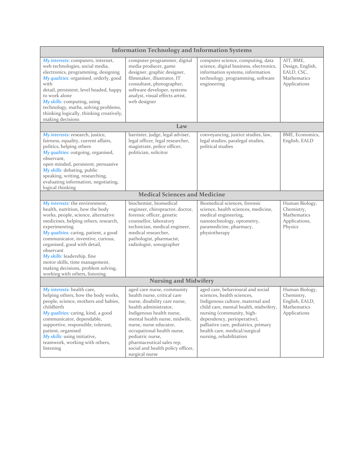| <b>Information Technology and Information Systems</b>                                                                                                                                                                                                                                                                                                                                                                                 |                                                                                                                                                                                                                                                                                                                                                  |                                                                                                                                                                                                                                                                                                              |                                                                               |
|---------------------------------------------------------------------------------------------------------------------------------------------------------------------------------------------------------------------------------------------------------------------------------------------------------------------------------------------------------------------------------------------------------------------------------------|--------------------------------------------------------------------------------------------------------------------------------------------------------------------------------------------------------------------------------------------------------------------------------------------------------------------------------------------------|--------------------------------------------------------------------------------------------------------------------------------------------------------------------------------------------------------------------------------------------------------------------------------------------------------------|-------------------------------------------------------------------------------|
| My interests: computers, internet,<br>web technologies, social media,<br>electronics, programming, designing<br>My qualities: organised, orderly, good<br>with<br>detail, persistent, level headed, happy<br>to work alone<br>My skills: computing, using<br>technology, maths, solving problems,<br>thinking logically, thinking creatively,<br>making decisions                                                                     | computer programmer, digital<br>media producer, game<br>designer, graphic designer,<br>filmmaker, illustrator, IT<br>consultant, photographer,<br>software developer, systems<br>analyst, visual effects artist,<br>web designer                                                                                                                 | computer science, computing, data<br>science, digital business, electronics,<br>information systems, information<br>technology, programming, software<br>engineering                                                                                                                                         | AIT, BME,<br>Design, English,<br>EALD, CSC,<br>Mathematics<br>Applications    |
|                                                                                                                                                                                                                                                                                                                                                                                                                                       | Law                                                                                                                                                                                                                                                                                                                                              |                                                                                                                                                                                                                                                                                                              |                                                                               |
| My interests: research, justice,<br>fairness, equality, current affairs,<br>politics, helping others<br>My qualities: outgoing, organised,<br>observant,<br>open minded, persistent, persuasive<br>My skills: debating, public<br>speaking, writing, researching,<br>evaluating information, negotiating,<br>logical thinking                                                                                                         | barrister, judge, legal adviser,<br>legal officer, legal researcher,<br>magistrate, police officer,<br>politician, solicitor                                                                                                                                                                                                                     | conveyancing, justice studies, law,<br>legal studies, paralegal studies,<br>political studies                                                                                                                                                                                                                | BME, Economics,<br>English, EALD                                              |
|                                                                                                                                                                                                                                                                                                                                                                                                                                       | <b>Medical Sciences and Medicine</b>                                                                                                                                                                                                                                                                                                             |                                                                                                                                                                                                                                                                                                              |                                                                               |
| My interests: the environment,<br>health, nutrition, how the body<br>works, people, science, alternative<br>medicines, helping others, research,<br>experimenting<br>My qualities: caring, patient, a good<br>communicator, inventive, curious,<br>organised, good with detail,<br>observant<br>My skills: leadership, fine<br>motor skills, time management,<br>making decisions, problem solving,<br>working with others, listening | biochemist, biomedical<br>engineer, chiropractor, doctor,<br>forensic officer, genetic<br>counsellor, laboratory<br>technician, medical engineer,<br>medical researcher,<br>pathologist, pharmacist,<br>radiologist, sonographer                                                                                                                 | Biomedical sciences, forensic<br>science, health sciences, medicine,<br>medical engineering,<br>nanotechnology, optometry,<br>paramedicine, pharmacy,<br>physiotherapy                                                                                                                                       | Human Biology,<br>Chemistry,<br>Mathematics<br>Applications,<br>Physics       |
|                                                                                                                                                                                                                                                                                                                                                                                                                                       | <b>Nursing and Midwifery</b>                                                                                                                                                                                                                                                                                                                     |                                                                                                                                                                                                                                                                                                              |                                                                               |
| My interests: health care,<br>helping others, how the body works,<br>people, science, mothers and babies,<br>childbirth<br>My qualities: caring, kind, a good<br>communicator, dependable,<br>supportive, responsible, tolerant,<br>patient, organised<br>My skills: using initiative,<br>teamwork, working with others,<br>listening                                                                                                 | aged care nurse, community<br>health nurse, critical care<br>nurse, disability care nurse,<br>health administrator,<br>Indigenous health nurse,<br>mental health nurse, midwife,<br>nurse, nurse educator,<br>occupational health nurse,<br>pediatric nurse,<br>pharmaceutical sales rep,<br>social and health policy officer,<br>surgical nurse | aged care, behavioural and social<br>sciences, health sciences,<br>Indigenous culture, maternal and<br>child care, mental health, midwifery,<br>nursing (community, high-<br>dependency, perioperative),<br>palliative care, pediatrics, primary<br>health care, medical/surgical<br>nursing, rehabilitation | Human Biology,<br>Chemistry,<br>English, EALD,<br>Mathematics<br>Applications |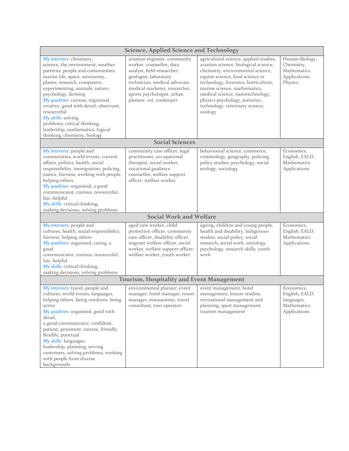| <b>Science, Applied Science and Technology</b>                                                                                                                                                                                                                                                                                                                                                                                                         |                                                                                                                                                                                                                                            |                                                                                                                                                                                                                                                                                                                                                      |                                                                           |
|--------------------------------------------------------------------------------------------------------------------------------------------------------------------------------------------------------------------------------------------------------------------------------------------------------------------------------------------------------------------------------------------------------------------------------------------------------|--------------------------------------------------------------------------------------------------------------------------------------------------------------------------------------------------------------------------------------------|------------------------------------------------------------------------------------------------------------------------------------------------------------------------------------------------------------------------------------------------------------------------------------------------------------------------------------------------------|---------------------------------------------------------------------------|
| My interests: chemistry,<br>science, the environment, weather<br>patterns, people and communities,<br>marine life, space, astronomy,<br>planes, research, computers,<br>experimenting, animals, nature,<br>psychology, farming<br>My qualities: curious, organised,<br>creative, good with detail, observant,<br>resourceful<br>My skills: solving<br>problems, critical thinking,<br>leadership, mathematics, logical<br>thinking, chemistry, biology | aviation engineer, community<br>worker, counsellor, data<br>analyst, field researcher,<br>geologist, laboratory<br>technician, medical advocate,<br>medical marketer, researcher,<br>sports psychologist, urban<br>planner, vet, zookeeper | agricultural science, applied studies,<br>aviation science, biological science,<br>chemistry, environmental science,<br>equine science, food science or<br>technology, forensics, horticulture,<br>marine science, mathematics,<br>medical science, nanotechnology,<br>physics psychology, statistics,<br>technology, veterinary science,<br>zoology | Human Biology,<br>Chemistry,<br>Mathematics<br>Applications,<br>Physics   |
|                                                                                                                                                                                                                                                                                                                                                                                                                                                        | <b>Social Sciences</b>                                                                                                                                                                                                                     |                                                                                                                                                                                                                                                                                                                                                      |                                                                           |
| My interests: people and<br>communities, world events, current<br>affairs, politics, health, social<br>responsibility, immigration, policing,<br>justice, fairness, working with people,<br>helping others<br>My qualities: organised, a good<br>communicator, curious, resourceful,<br>fair, helpful<br>My skills: critical thinking,<br>making decisions, solving problems                                                                           | community care officer, legal<br>practitioner, occupational<br>therapist, social worker,<br>vocational guidance<br>counsellor, welfare support<br>officer, welfare worker                                                                  | behavioural science, commerce,<br>criminology, geography, policing,<br>policy studies, psychology, social<br>ecology, sociology                                                                                                                                                                                                                      | Economics,<br>English, EALD,<br><b>Mathematics</b><br>Applications        |
| <b>Social Work and Welfare</b>                                                                                                                                                                                                                                                                                                                                                                                                                         |                                                                                                                                                                                                                                            |                                                                                                                                                                                                                                                                                                                                                      |                                                                           |
| My interests: people and<br>cultures, health, social responsibility,<br>fairness, helping others<br>My qualities: organised, caring, a<br>good<br>communicator, curious, resourceful,<br>fair, helpful<br>My skills: critical thinking,<br>making decisions, solving problems                                                                                                                                                                          | aged care worker, child<br>protection officer, community<br>care officer, disability officer,<br>migrant welfare officer, social<br>worker, welfare support officer,<br>welfare worker, youth worker                                       | ageing, children and young people,<br>health and disability, Indigenous<br>studies, social policy, social<br>research, social work, sociology,<br>psychology, research skills, youth<br>work                                                                                                                                                         | Economics,<br>English, EALD,<br>Mathematics<br>Applications               |
|                                                                                                                                                                                                                                                                                                                                                                                                                                                        | <b>Tourism, Hospitality and Event Management</b>                                                                                                                                                                                           |                                                                                                                                                                                                                                                                                                                                                      |                                                                           |
| My interests: travel, people and<br>cultures, world events, languages,<br>helping others, being outdoors, being<br>active<br>My qualities: organised, good with<br>detail,<br>a good communicator, confident,<br>patient, persistent, sincere, friendly,<br>flexible, punctual<br>My skills: languages,<br>leadership, planning, serving<br>customers, solving problems, working<br>with people from diverse<br>backgrounds                            | environmental planner, event<br>manager, hotel manager, resort<br>manager, restaurateur, travel<br>consultant, tour operator                                                                                                               | event management, hotel<br>management, leisure studies,<br>recreational management and<br>planning, sport management,<br>tourism management                                                                                                                                                                                                          | Economics,<br>English, EALD,<br>languages,<br>Mathematics<br>Applications |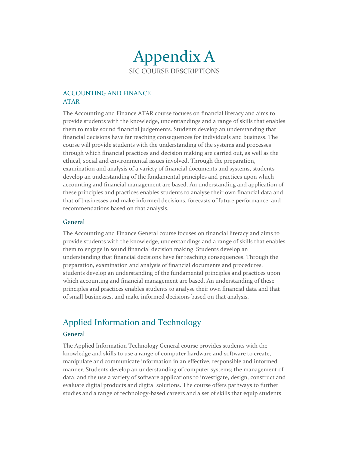## Appendix A SIC COURSE DESCRIPTIONS

### ACCOUNTING AND FINANCE ATAR

The Accounting and Finance ATAR course focuses on financial literacy and aims to provide students with the knowledge, understandings and a range of skills that enables them to make sound financial judgements. Students develop an understanding that financial decisions have far reaching consequences for individuals and business. The course will provide students with the understanding of the systems and processes through which financial practices and decision making are carried out, as well as the ethical, social and environmental issues involved. Through the preparation, examination and analysis of a variety of financial documents and systems, students develop an understanding of the fundamental principles and practices upon which accounting and financial management are based. An understanding and application of these principles and practices enables students to analyse their own financial data and that of businesses and make informed decisions, forecasts of future performance, and recommendations based on that analysis.

#### **General**

The Accounting and Finance General course focuses on financial literacy and aims to provide students with the knowledge, understandings and a range of skills that enables them to engage in sound financial decision making. Students develop an understanding that financial decisions have far reaching consequences. Through the preparation, examination and analysis of financial documents and procedures, students develop an understanding of the fundamental principles and practices upon which accounting and financial management are based. An understanding of these principles and practices enables students to analyse their own financial data and that of small businesses, and make informed decisions based on that analysis.

## Applied Information and Technology

#### General

The Applied Information Technology General course provides students with the knowledge and skills to use a range of computer hardware and software to create, manipulate and communicate information in an effective, responsible and informed manner. Students develop an understanding of computer systems; the management of data; and the use a variety of software applications to investigate, design, construct and evaluate digital products and digital solutions. The course offers pathways to further studies and a range of technology‐based careers and a set of skills that equip students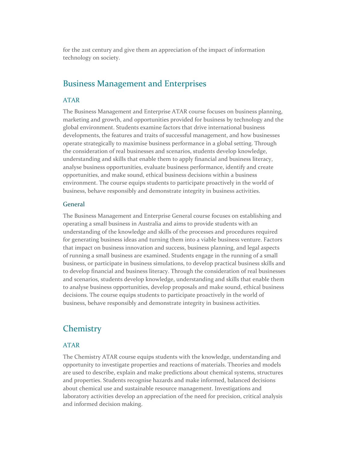for the 21st century and give them an appreciation of the impact of information technology on society.

## Business Management and Enterprises

#### ATAR

The Business Management and Enterprise ATAR course focuses on business planning, marketing and growth, and opportunities provided for business by technology and the global environment. Students examine factors that drive international business developments, the features and traits of successful management, and how businesses operate strategically to maximise business performance in a global setting. Through the consideration of real businesses and scenarios, students develop knowledge, understanding and skills that enable them to apply financial and business literacy, analyse business opportunities, evaluate business performance, identify and create opportunities, and make sound, ethical business decisions within a business environment. The course equips students to participate proactively in the world of business, behave responsibly and demonstrate integrity in business activities.

#### **General**

The Business Management and Enterprise General course focuses on establishing and operating a small business in Australia and aims to provide students with an understanding of the knowledge and skills of the processes and procedures required for generating business ideas and turning them into a viable business venture. Factors that impact on business innovation and success, business planning, and legal aspects of running a small business are examined. Students engage in the running of a small business, or participate in business simulations, to develop practical business skills and to develop financial and business literacy. Through the consideration of real businesses and scenarios, students develop knowledge, understanding and skills that enable them to analyse business opportunities, develop proposals and make sound, ethical business decisions. The course equips students to participate proactively in the world of business, behave responsibly and demonstrate integrity in business activities.

## **Chemistry**

#### ATAR

The Chemistry ATAR course equips students with the knowledge, understanding and opportunity to investigate properties and reactions of materials. Theories and models are used to describe, explain and make predictions about chemical systems, structures and properties. Students recognise hazards and make informed, balanced decisions about chemical use and sustainable resource management. Investigations and laboratory activities develop an appreciation of the need for precision, critical analysis and informed decision making.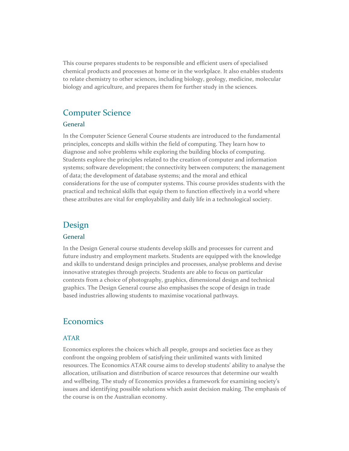This course prepares students to be responsible and efficient users of specialised chemical products and processes at home or in the workplace. It also enables students to relate chemistry to other sciences, including biology, geology, medicine, molecular biology and agriculture, and prepares them for further study in the sciences.

## Computer Science

#### General

In the Computer Science General Course students are introduced to the fundamental principles, concepts and skills within the field of computing. They learn how to diagnose and solve problems while exploring the building blocks of computing. Students explore the principles related to the creation of computer and information systems; software development; the connectivity between computers; the management of data; the development of database systems; and the moral and ethical considerations for the use of computer systems. This course provides students with the practical and technical skills that equip them to function effectively in a world where these attributes are vital for employability and daily life in a technological society.

## Design

#### General

In the Design General course students develop skills and processes for current and future industry and employment markets. Students are equipped with the knowledge and skills to understand design principles and processes, analyse problems and devise innovative strategies through projects. Students are able to focus on particular contexts from a choice of photography, graphics, dimensional design and technical graphics. The Design General course also emphasises the scope of design in trade based industries allowing students to maximise vocational pathways.

## **Economics**

#### ATAR

Economics explores the choices which all people, groups and societies face as they confront the ongoing problem of satisfying their unlimited wants with limited resources. The Economics ATAR course aims to develop students' ability to analyse the allocation, utilisation and distribution of scarce resources that determine our wealth and wellbeing. The study of Economics provides a framework for examining society's issues and identifying possible solutions which assist decision making. The emphasis of the course is on the Australian economy.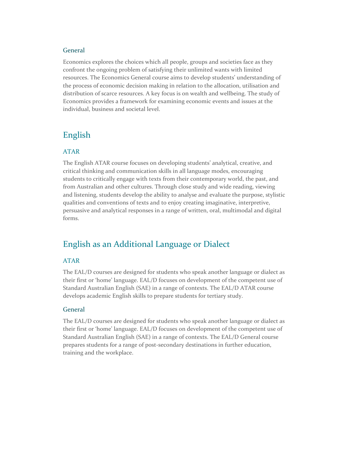#### General

Economics explores the choices which all people, groups and societies face as they confront the ongoing problem of satisfying their unlimited wants with limited resources. The Economics General course aims to develop students' understanding of the process of economic decision making in relation to the allocation, utilisation and distribution of scarce resources. A key focus is on wealth and wellbeing. The study of Economics provides a framework for examining economic events and issues at the individual, business and societal level.

## English

#### ATAR

The English ATAR course focuses on developing students' analytical, creative, and critical thinking and communication skills in all language modes, encouraging students to critically engage with texts from their contemporary world, the past, and from Australian and other cultures. Through close study and wide reading, viewing and listening, students develop the ability to analyse and evaluate the purpose, stylistic qualities and conventions of texts and to enjoy creating imaginative, interpretive, persuasive and analytical responses in a range of written, oral, multimodal and digital forms.

## English as an Additional Language or Dialect

#### ATAR

The EAL/D courses are designed for students who speak another language or dialect as their first or 'home' language. EAL/D focuses on development of the competent use of Standard Australian English (SAE) in a range of contexts. The EAL/D ATAR course develops academic English skills to prepare students for tertiary study.

#### General

The EAL/D courses are designed for students who speak another language or dialect as their first or 'home' language. EAL/D focuses on development of the competent use of Standard Australian English (SAE) in a range of contexts. The EAL/D General course prepares students for a range of post-secondary destinations in further education, training and the workplace.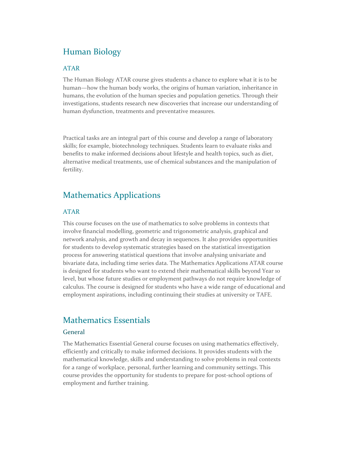## Human Biology

#### ATAR

The Human Biology ATAR course gives students a chance to explore what it is to be human—how the human body works, the origins of human variation, inheritance in humans, the evolution of the human species and population genetics. Through their investigations, students research new discoveries that increase our understanding of human dysfunction, treatments and preventative measures.

Practical tasks are an integral part of this course and develop a range of laboratory skills; for example, biotechnology techniques. Students learn to evaluate risks and benefits to make informed decisions about lifestyle and health topics, such as diet, alternative medical treatments, use of chemical substances and the manipulation of fertility.

## Mathematics Applications

#### ATAR

This course focuses on the use of mathematics to solve problems in contexts that involve financial modelling, geometric and trigonometric analysis, graphical and network analysis, and growth and decay in sequences. It also provides opportunities for students to develop systematic strategies based on the statistical investigation process for answering statistical questions that involve analysing univariate and bivariate data, including time series data. The Mathematics Applications ATAR course is designed for students who want to extend their mathematical skills beyond Year 10 level, but whose future studies or employment pathways do not require knowledge of calculus. The course is designed for students who have a wide range of educational and employment aspirations, including continuing their studies at university or TAFE.

## Mathematics Essentials

#### **General**

The Mathematics Essential General course focuses on using mathematics effectively, efficiently and critically to make informed decisions. It provides students with the mathematical knowledge, skills and understanding to solve problems in real contexts for a range of workplace, personal, further learning and community settings. This course provides the opportunity for students to prepare for post‐school options of employment and further training.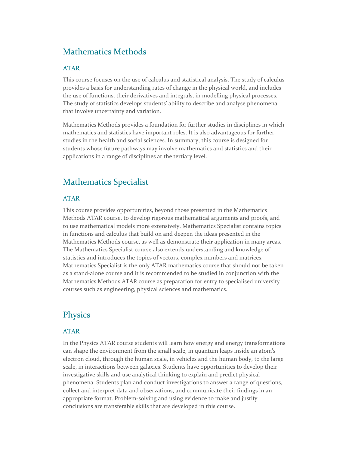## Mathematics Methods

#### ATAR

This course focuses on the use of calculus and statistical analysis. The study of calculus provides a basis for understanding rates of change in the physical world, and includes the use of functions, their derivatives and integrals, in modelling physical processes. The study of statistics develops students' ability to describe and analyse phenomena that involve uncertainty and variation.

Mathematics Methods provides a foundation for further studies in disciplines in which mathematics and statistics have important roles. It is also advantageous for further studies in the health and social sciences. In summary, this course is designed for students whose future pathways may involve mathematics and statistics and their applications in a range of disciplines at the tertiary level.

## Mathematics Specialist

#### ATAR

This course provides opportunities, beyond those presented in the Mathematics Methods ATAR course, to develop rigorous mathematical arguments and proofs, and to use mathematical models more extensively. Mathematics Specialist contains topics in functions and calculus that build on and deepen the ideas presented in the Mathematics Methods course, as well as demonstrate their application in many areas. The Mathematics Specialist course also extends understanding and knowledge of statistics and introduces the topics of vectors, complex numbers and matrices. Mathematics Specialist is the only ATAR mathematics course that should not be taken as a stand‐alone course and it is recommended to be studied in conjunction with the Mathematics Methods ATAR course as preparation for entry to specialised university courses such as engineering, physical sciences and mathematics.

## **Physics**

#### ATAR

In the Physics ATAR course students will learn how energy and energy transformations can shape the environment from the small scale, in quantum leaps inside an atom's electron cloud, through the human scale, in vehicles and the human body, to the large scale, in interactions between galaxies. Students have opportunities to develop their investigative skills and use analytical thinking to explain and predict physical phenomena. Students plan and conduct investigations to answer a range of questions, collect and interpret data and observations, and communicate their findings in an appropriate format. Problem‐solving and using evidence to make and justify conclusions are transferable skills that are developed in this course.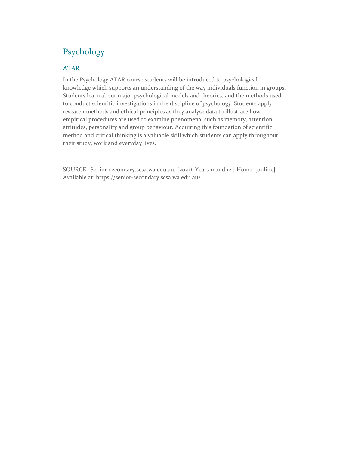## Psychology

#### ATAR

In the Psychology ATAR course students will be introduced to psychological knowledge which supports an understanding of the way individuals function in groups. Students learn about major psychological models and theories, and the methods used to conduct scientific investigations in the discipline of psychology. Students apply research methods and ethical principles as they analyse data to illustrate how empirical procedures are used to examine phenomena, such as memory, attention, attitudes, personality and group behaviour. Acquiring this foundation of scientific method and critical thinking is a valuable skill which students can apply throughout their study, work and everyday lives.

SOURCE: Senior-secondary.scsa.wa.edu.au. (2021). Years 11 and 12 | Home. [online] Available at: https://senior‐secondary.scsa.wa.edu.au/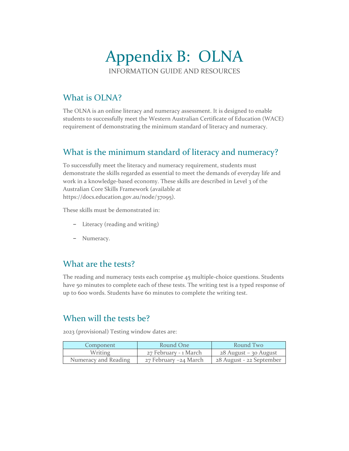## Appendix B: OLNA INFORMATION GUIDE AND RESOURCES

## What is OLNA?

The OLNA is an online literacy and numeracy assessment. It is designed to enable students to successfully meet the Western Australian Certificate of Education (WACE) requirement of demonstrating the minimum standard of literacy and numeracy.

## What is the minimum standard of literacy and numeracy?

To successfully meet the literacy and numeracy requirement, students must demonstrate the skills regarded as essential to meet the demands of everyday life and work in a knowledge-based economy. These skills are described in Level 3 of the Australian Core Skills Framework (available at https://docs.education.gov.au/node/37095).

These skills must be demonstrated in:

- − Literacy (reading and writing)
- − Numeracy.

## What are the tests?

The reading and numeracy tests each comprise 45 multiple‐choice questions. Students have 50 minutes to complete each of these tests. The writing test is a typed response of up to 600 words. Students have 60 minutes to complete the writing test.

## When will the tests be?

2023 (provisional) Testing window dates are:

| Component            | Round One             | Round Two                |
|----------------------|-----------------------|--------------------------|
| Writing              | 27 February - 1 March | 28 August - 30 August    |
| Numeracy and Reading | 27 February –24 March | 28 August - 22 September |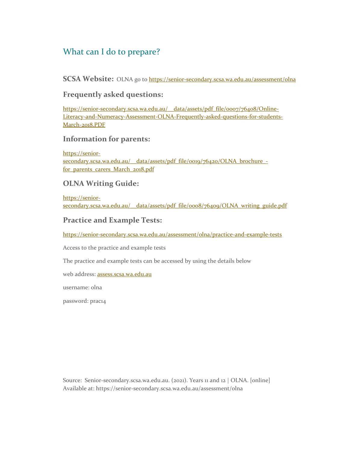## What can I do to prepare?

**SCSA Website:** OLNA go to https://senior-secondary.scsa.wa.edu.au/assessment/olna

## **Frequently asked questions:**

https://senior-secondary.scsa.wa.edu.au/\_\_data/assets/pdf\_file/0007/76408/Online-Literacy‐and‐Numeracy‐Assessment‐OLNA‐Frequently‐asked‐questions‐for‐students‐ March‐2018.PDF

## **Information for parents:**

https://senior‐ secondary.scsa.wa.edu.au/\_data/assets/pdf\_file/0019/76420/OLNA\_brochure\_for parents carers March 2018.pdf

## **OLNA Writing Guide:**

https://senior‐ secondary.scsa.wa.edu.au/\_\_data/assets/pdf\_file/0008/76409/OLNA\_writing\_guide.pdf

## **Practice and Example Tests:**

https://senior-secondary.scsa.wa.edu.au/assessment/olna/practice-and-example-tests

Access to the practice and example tests

The practice and example tests can be accessed by using the details below

web address: assess.scsa.wa.edu.au

username: olna

password: prac14

Source: Senior-secondary.scsa.wa.edu.au. (2021). Years 11 and 12 | OLNA. [online] Available at: https://senior‐secondary.scsa.wa.edu.au/assessment/olna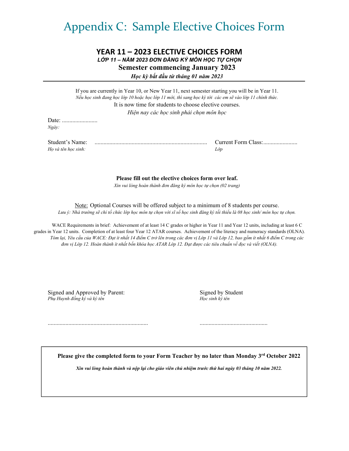## Appendix C: Sample Elective Choices Form

### **YEAR 11 – 2023 ELECTIVE CHOICES FORM**  *LỚP 11 – NĂM 2023 ĐƠN ĐĂNG KÝ MÔN HỌC TỰ CHỌN*  **Semester commencing January 2023**  *Học kỳ bắt đầu từ tháng 01 năm 2023*

If you are currently in Year 10, or New Year 11, next semester starting you will be in Year 11. Nếu học sinh đang học lớp 10 hoặc học lớp 11 mới, thì sang học kỳ tới các em sẽ vào lớp 11 chính thức. It is now time for students to choose elective courses. *Hiện nay các học sinh phải chọn môn học*  Date: ........................

*Ngày:* 

*Họ và tên học sinh: Lớp* 

Student's Name: ............................................................................ Current Form Class: .......................

**Please fill out the elective choices form over leaf.** 

*Xin vui lòng hoàn thành đơn đăng ký môn học tự chọn (02 trang)* 

Note: Optional Courses will be offered subject to a minimum of 8 students per course. Lưu ý: Nhà trường sẽ chỉ tổ chức lớp học môn tự chọn với sĩ số học sinh đăng ký tối thiểu là 08 học sinh/môn học tự chọn.

WACE Requirements in brief: Achievement of at least 14 C grades or higher in Year 11 and Year 12 units, including at least 6 C grades in Year 12 units. Completion of at least four Year 12 ATAR courses. Achievement of the literacy and numeracy standards (OLNA). Tóm lại, Yêu cầu của WACE: Đạt ít nhất 14 điểm C trở lên trong các đơn vị Lớp 11 và Lớp 12, bao gồm ít nhất 6 điểm C trong các đơn vị Lớp 12. Hoàn thành ít nhất bốn khóa học ATAR Lớp 12. Đạt được các tiêu chuẩn về đọc và viết (OLNA).

Signed and Approved by Parent: Signed by Student Signed by Student *Phụ Huynh đồng ký và ký tên*  $\blacksquare$   $\blacksquare$   $\blacksquare$   $\blacksquare$   $\blacksquare$   $\blacksquare$   $\blacksquare$   $\blacksquare$   $\blacksquare$   $\blacksquare$   $\blacksquare$   $\blacksquare$   $\blacksquare$   $\blacksquare$   $\blacksquare$   $\blacksquare$   $\blacksquare$   $\blacksquare$   $\blacksquare$   $\blacksquare$   $\blacksquare$   $\blacksquare$   $\blacksquare$   $\blacksquare$   $\blacksquare$   $\blacksquare$   $\blacksquare$   $\bl$ 

**Please give the completed form to your Form Teacher by no later than Monday 3rd October 2022** 

.................................................................... ..............................................

*Xin vui lòng hoàn thành và nộp lại cho giáo viên chủ nhiệm trước thứ hai ngày 03 tháng 10 năm 2022.*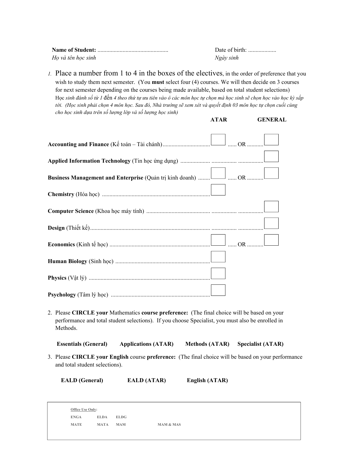| Ho và tên học sinh | Ngày sinh |
|--------------------|-----------|

*1.* Place a number from 1 to 4 in the boxes of the electives, in the order of preference that you wish to study them next semester. (You **must** select four (4) courses. We will then decide on 3 courses for next semester depending on the courses being made available, based on total student selections) Hoc sinh đánh số từ 1 đến 4 theo thứ tư ưu tiên vào ô các môn hoc tư chon mà hoc sinh sẽ chon hoc vào hoc kỳ sắp tới. (Học sinh phải chọn 4 môn học. Sau đó, Nhà trường sẽ xem xét và quyết định 03 môn học tự chọn cuối cùng *cho học sinh dựa trên số lượng lớp và số lượng học sinh)* 

 **ATAR GENERAL** 

| Business Management and Enterprise (Quản trị kinh doanh)  Luim OR |
|-------------------------------------------------------------------|
|                                                                   |
|                                                                   |
|                                                                   |
|                                                                   |
|                                                                   |
|                                                                   |
|                                                                   |

2. Please **CIRCLE your** Mathematics **course preference:** (The final choice will be based on your performance and total student selections). If you choose Specialist, you must also be enrolled in Methods.

 **Essentials (General) Applications (ATAR) Methods (ATAR) Specialist (ATAR)** 

3. Please **CIRCLE your English** course **preference:** (The final choice will be based on your performance and total student selections).

 **EALD (General) EALD (ATAR) English (ATAR)** 

| Office Use Only: |             |             |                      |
|------------------|-------------|-------------|----------------------|
| <b>ENGA</b>      | <b>ELDA</b> | <b>ELDG</b> |                      |
| <b>MATE</b>      | MATA        | MAM         | <b>MAM &amp; MAS</b> |
|                  |             |             |                      |